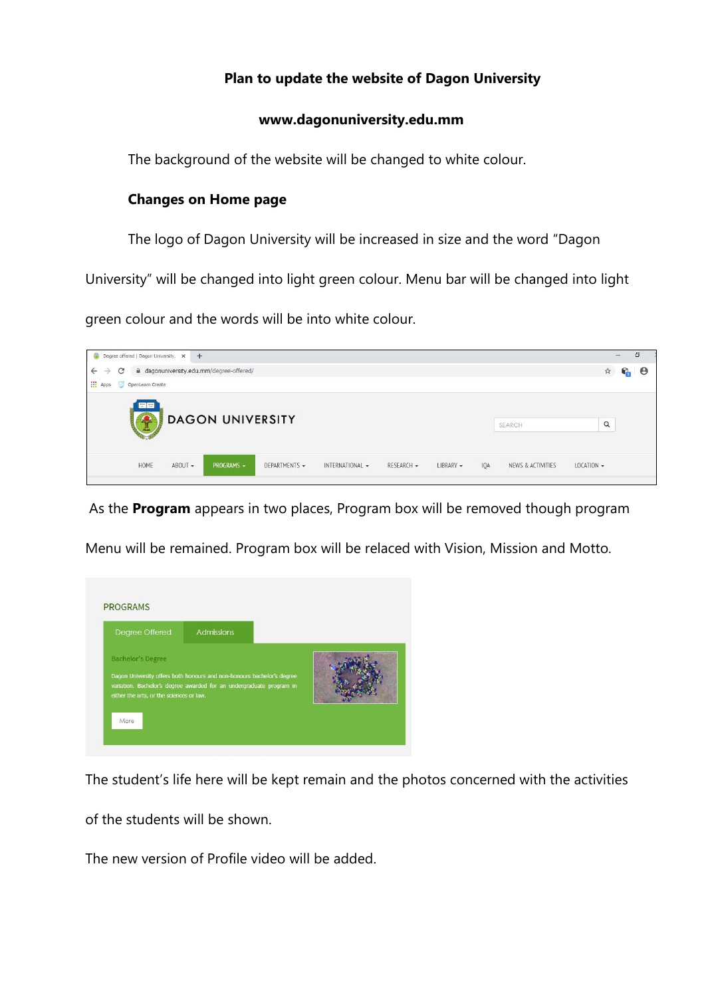## **Plan to update the website of Dagon University**

## **www.dagonuniversity.edu.mm**

The background of the website will be changed to white colour.

## **Changes on Home page**

The logo of Dagon University will be increased in size and the word "Dagon

University" will be changed into light green colour. Menu bar will be changed into light

green colour and the words will be into white colour.



As the **Program** appears in two places, Program box will be removed though program





The student's life here will be kept remain and the photos concerned with the activities

of the students will be shown.

The new version of Profile video will be added.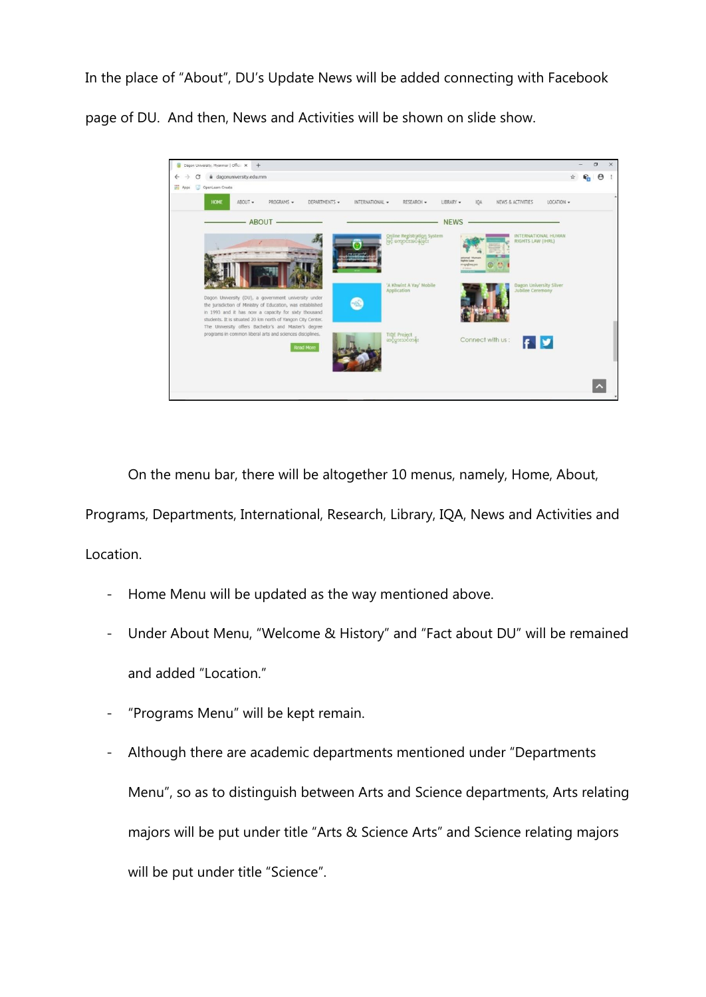In the place of "About", DU's Update News will be added connecting with Facebook

page of DU. And then, News and Activities will be shown on slide show.



On the menu bar, there will be altogether 10 menus, namely, Home, About, Programs, Departments, International, Research, Library, IQA, News and Activities and Location.

- Home Menu will be updated as the way mentioned above.
- Under About Menu, "Welcome & History" and "Fact about DU" will be remained and added "Location."
- "Programs Menu" will be kept remain.
- Although there are academic departments mentioned under "Departments Menu", so as to distinguish between Arts and Science departments, Arts relating majors will be put under title "Arts & Science Arts" and Science relating majors will be put under title "Science".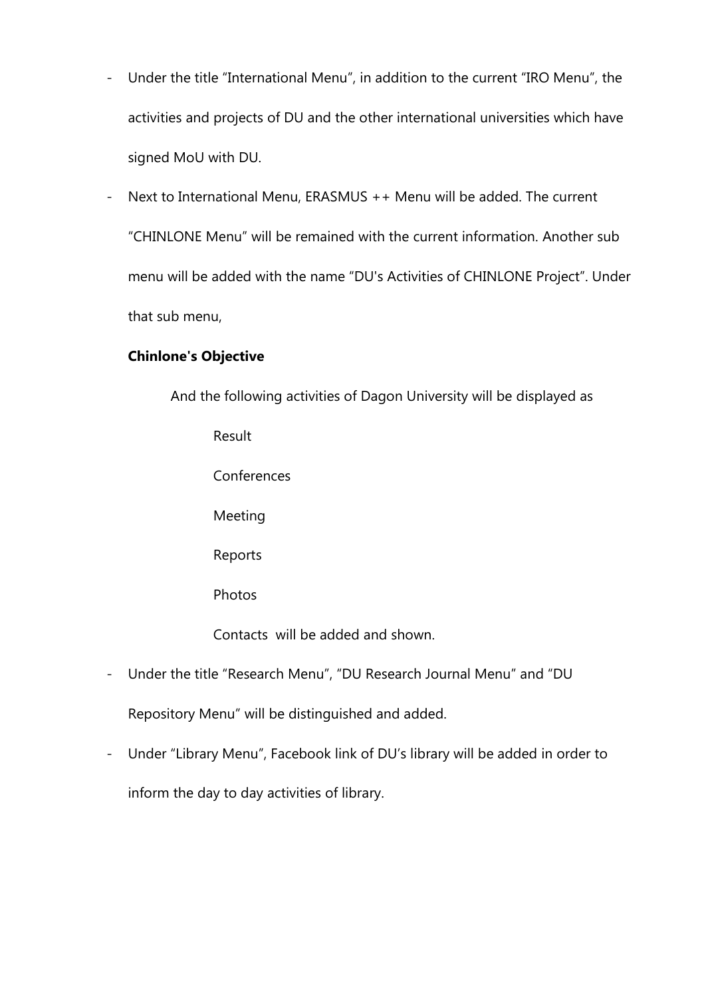- Under the title "International Menu", in addition to the current "IRO Menu", the activities and projects of DU and the other international universities which have signed MoU with DU.
- Next to International Menu, ERASMUS ++ Menu will be added. The current "CHINLONE Menu" will be remained with the current information. Another sub menu will be added with the name "DU's Activities of CHINLONE Project". Under that sub menu,

## **Chinlone's Objective**

And the following activities of Dagon University will be displayed as Result **Conferences** Meeting Reports Photos Contacts will be added and shown.

- Under the title "Research Menu", "DU Research Journal Menu" and "DU Repository Menu" will be distinguished and added.
- Under "Library Menu", Facebook link of DU's library will be added in order to inform the day to day activities of library.